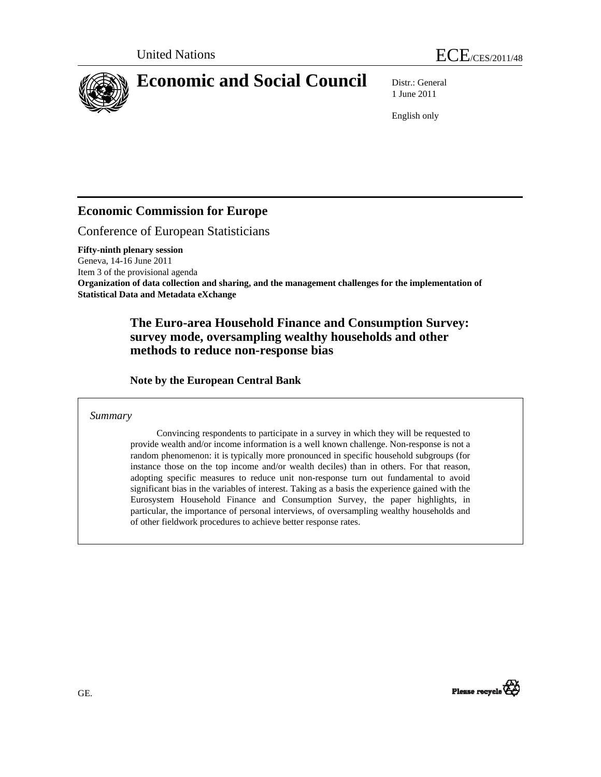

1 June 2011

English only

## **Economic Commission for Europe**

Conference of European Statisticians

**Fifty-ninth plenary session**  Geneva, 14-16 June 2011 Item 3 of the provisional agenda **Organization of data collection and sharing, and the management challenges for the implementation of Statistical Data and Metadata eXchange** 

### **The Euro-area Household Finance and Consumption Survey: survey mode, oversampling wealthy households and other methods to reduce non-response bias**

 **Note by the European Central Bank** 

#### *Summary*

 Convincing respondents to participate in a survey in which they will be requested to provide wealth and/or income information is a well known challenge. Non-response is not a random phenomenon: it is typically more pronounced in specific household subgroups (for instance those on the top income and/or wealth deciles) than in others. For that reason, adopting specific measures to reduce unit non-response turn out fundamental to avoid significant bias in the variables of interest. Taking as a basis the experience gained with the Eurosystem Household Finance and Consumption Survey, the paper highlights, in particular, the importance of personal interviews, of oversampling wealthy households and of other fieldwork procedures to achieve better response rates.

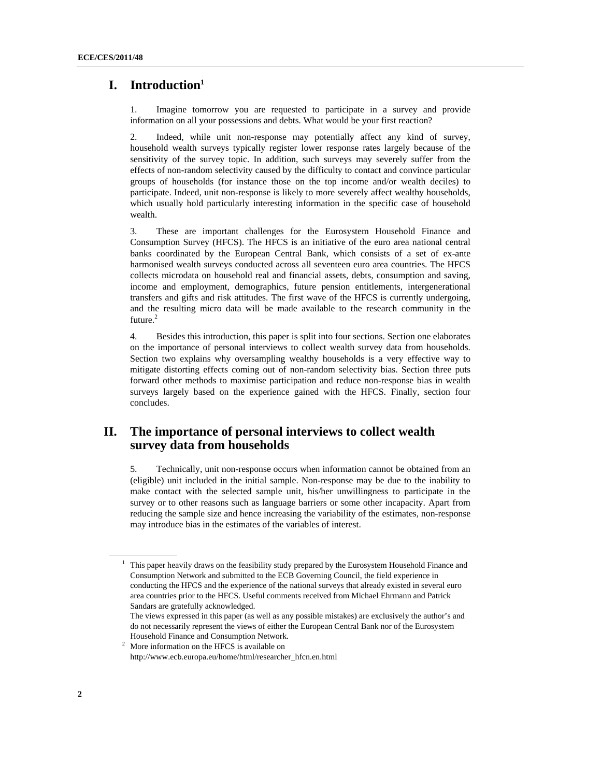### **I. Introduction1**

1. Imagine tomorrow you are requested to participate in a survey and provide information on all your possessions and debts. What would be your first reaction?

2. Indeed, while unit non-response may potentially affect any kind of survey, household wealth surveys typically register lower response rates largely because of the sensitivity of the survey topic. In addition, such surveys may severely suffer from the effects of non-random selectivity caused by the difficulty to contact and convince particular groups of households (for instance those on the top income and/or wealth deciles) to participate. Indeed, unit non-response is likely to more severely affect wealthy households, which usually hold particularly interesting information in the specific case of household wealth.

3. These are important challenges for the Eurosystem Household Finance and Consumption Survey (HFCS). The HFCS is an initiative of the euro area national central banks coordinated by the European Central Bank, which consists of a set of ex-ante harmonised wealth surveys conducted across all seventeen euro area countries. The HFCS collects microdata on household real and financial assets, debts, consumption and saving, income and employment, demographics, future pension entitlements, intergenerational transfers and gifts and risk attitudes. The first wave of the HFCS is currently undergoing, and the resulting micro data will be made available to the research community in the future.<sup>2</sup>

4. Besides this introduction, this paper is split into four sections. Section one elaborates on the importance of personal interviews to collect wealth survey data from households. Section two explains why oversampling wealthy households is a very effective way to mitigate distorting effects coming out of non-random selectivity bias. Section three puts forward other methods to maximise participation and reduce non-response bias in wealth surveys largely based on the experience gained with the HFCS. Finally, section four concludes.

## **II. The importance of personal interviews to collect wealth survey data from households**

5. Technically, unit non-response occurs when information cannot be obtained from an (eligible) unit included in the initial sample. Non-response may be due to the inability to make contact with the selected sample unit, his/her unwillingness to participate in the survey or to other reasons such as language barriers or some other incapacity. Apart from reducing the sample size and hence increasing the variability of the estimates, non-response may introduce bias in the estimates of the variables of interest.

<sup>1</sup> This paper heavily draws on the feasibility study prepared by the Eurosystem Household Finance and Consumption Network and submitted to the ECB Governing Council, the field experience in conducting the HFCS and the experience of the national surveys that already existed in several euro area countries prior to the HFCS. Useful comments received from Michael Ehrmann and Patrick Sandars are gratefully acknowledged.

The views expressed in this paper (as well as any possible mistakes) are exclusively the author's and do not necessarily represent the views of either the European Central Bank nor of the Eurosystem

Household Finance and Consumption Network. 2 More information on the HFCS is available on http://www.ecb.europa.eu/home/html/researcher\_hfcn.en.html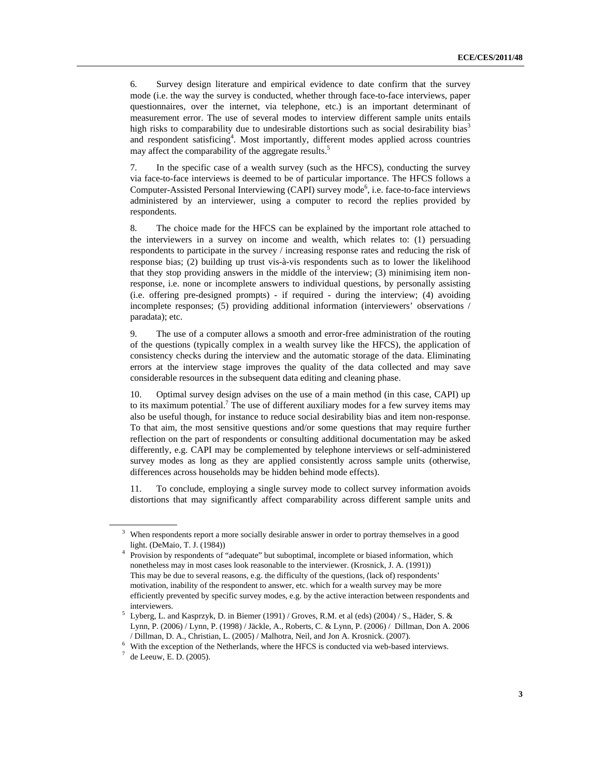6. Survey design literature and empirical evidence to date confirm that the survey mode (i.e. the way the survey is conducted, whether through face-to-face interviews, paper questionnaires, over the internet, via telephone, etc.) is an important determinant of measurement error. The use of several modes to interview different sample units entails high risks to comparability due to undesirable distortions such as social desirability bias<sup>3</sup> and respondent satisficing<sup>4</sup>. Most importantly, different modes applied across countries may affect the comparability of the aggregate results.<sup>5</sup>

7. In the specific case of a wealth survey (such as the HFCS), conducting the survey via face-to-face interviews is deemed to be of particular importance. The HFCS follows a Computer-Assisted Personal Interviewing (CAPI) survey mode<sup>6</sup>, i.e. face-to-face interviews administered by an interviewer, using a computer to record the replies provided by respondents.

8. The choice made for the HFCS can be explained by the important role attached to the interviewers in a survey on income and wealth, which relates to: (1) persuading respondents to participate in the survey / increasing response rates and reducing the risk of response bias; (2) building up trust vis-à-vis respondents such as to lower the likelihood that they stop providing answers in the middle of the interview; (3) minimising item nonresponse, i.e. none or incomplete answers to individual questions, by personally assisting (i.e. offering pre-designed prompts) - if required - during the interview; (4) avoiding incomplete responses; (5) providing additional information (interviewers' observations / paradata); etc.

9. The use of a computer allows a smooth and error-free administration of the routing of the questions (typically complex in a wealth survey like the HFCS), the application of consistency checks during the interview and the automatic storage of the data. Eliminating errors at the interview stage improves the quality of the data collected and may save considerable resources in the subsequent data editing and cleaning phase.

10. Optimal survey design advises on the use of a main method (in this case, CAPI) up to its maximum potential.<sup>7</sup> The use of different auxiliary modes for a few survey items may also be useful though, for instance to reduce social desirability bias and item non-response. To that aim, the most sensitive questions and/or some questions that may require further reflection on the part of respondents or consulting additional documentation may be asked differently, e.g. CAPI may be complemented by telephone interviews or self-administered survey modes as long as they are applied consistently across sample units (otherwise, differences across households may be hidden behind mode effects).

11. To conclude, employing a single survey mode to collect survey information avoids distortions that may significantly affect comparability across different sample units and

<sup>3</sup> When respondents report a more socially desirable answer in order to portray themselves in a good light. (DeMaio, T. J. (1984)) 4

<sup>&</sup>lt;sup>4</sup> Provision by respondents of "adequate" but suboptimal, incomplete or biased information, which nonetheless may in most cases look reasonable to the interviewer. (Krosnick, J. A. (1991)) This may be due to several reasons, e.g. the difficulty of the questions, (lack of) respondents' motivation, inability of the respondent to answer, etc. which for a wealth survey may be more efficiently prevented by specific survey modes, e.g. by the active interaction between respondents and

interviewers.<br><sup>5</sup> Lyberg, L. and Kasprzyk, D. in Biemer (1991) / Groves, R.M. et al (eds) (2004) / S., Häder, S. & Lynn, P. (2006) / Lynn, P. (1998) / Jäckle, A., Roberts, C. & Lynn, P. (2006) / Dillman, Don A. 2006 / Dillman, D. A., Christian, L. (2005) / Malhotra, Neil, and Jon A. Krosnick. (2007).

With the exception of the Netherlands, where the HFCS is conducted via web-based interviews.<br> $\frac{7}{6}$  do Leavy E D (2005)

 $^7$  de Leeuw, E. D. (2005).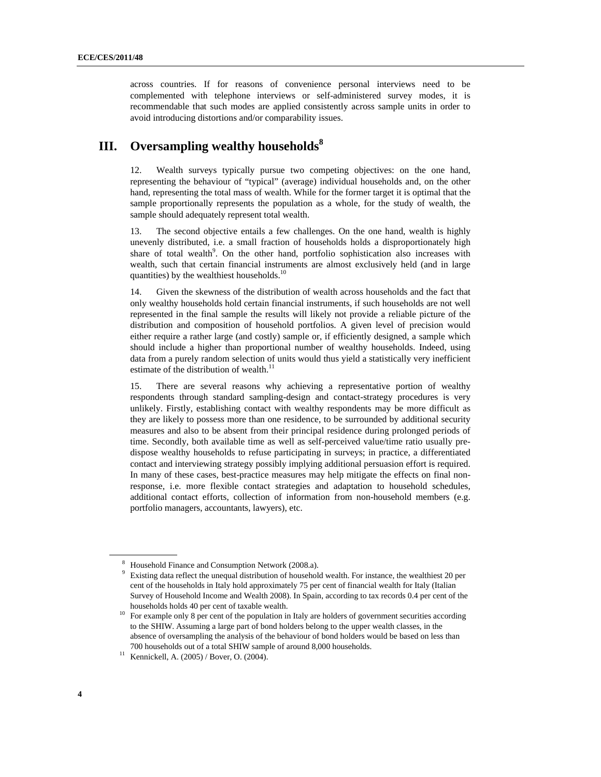across countries. If for reasons of convenience personal interviews need to be complemented with telephone interviews or self-administered survey modes, it is recommendable that such modes are applied consistently across sample units in order to avoid introducing distortions and/or comparability issues.

# **III.** Oversampling wealthy households<sup>8</sup>

12. Wealth surveys typically pursue two competing objectives: on the one hand, representing the behaviour of "typical" (average) individual households and, on the other hand, representing the total mass of wealth. While for the former target it is optimal that the sample proportionally represents the population as a whole, for the study of wealth, the sample should adequately represent total wealth.

13. The second objective entails a few challenges. On the one hand, wealth is highly unevenly distributed, i.e. a small fraction of households holds a disproportionately high share of total wealth<sup>9</sup>. On the other hand, portfolio sophistication also increases with wealth, such that certain financial instruments are almost exclusively held (and in large quantities) by the wealthiest households. $10$ 

14. Given the skewness of the distribution of wealth across households and the fact that only wealthy households hold certain financial instruments, if such households are not well represented in the final sample the results will likely not provide a reliable picture of the distribution and composition of household portfolios. A given level of precision would either require a rather large (and costly) sample or, if efficiently designed, a sample which should include a higher than proportional number of wealthy households. Indeed, using data from a purely random selection of units would thus yield a statistically very inefficient estimate of the distribution of wealth. $^{11}$ 

15. There are several reasons why achieving a representative portion of wealthy respondents through standard sampling-design and contact-strategy procedures is very unlikely. Firstly, establishing contact with wealthy respondents may be more difficult as they are likely to possess more than one residence, to be surrounded by additional security measures and also to be absent from their principal residence during prolonged periods of time. Secondly, both available time as well as self-perceived value/time ratio usually predispose wealthy households to refuse participating in surveys; in practice, a differentiated contact and interviewing strategy possibly implying additional persuasion effort is required. In many of these cases, best-practice measures may help mitigate the effects on final nonresponse, i.e. more flexible contact strategies and adaptation to household schedules, additional contact efforts, collection of information from non-household members (e.g. portfolio managers, accountants, lawyers), etc.

<sup>&</sup>lt;sup>8</sup> Household Finance and Consumption Network (2008.a).

<sup>&</sup>lt;sup>9</sup> Existing data reflect the unequal distribution of household wealth. For instance, the wealthiest 20 per cent of the households in Italy hold approximately 75 per cent of financial wealth for Italy (Italian Survey of Household Income and Wealth 2008). In Spain, according to tax records 0.4 per cent of the

households holds 40 per cent of taxable wealth.<br>  $10$  For example only 8 per cent of the population in Italy are holders of government securities according to the SHIW. Assuming a large part of bond holders belong to the upper wealth classes, in the absence of oversampling the analysis of the behaviour of bond holders would be based on less than 700 households out of a total SHIW sample of around 8,000 households.<br><sup>11</sup> Kennickell, A. (2005) / Bover, O. (2004).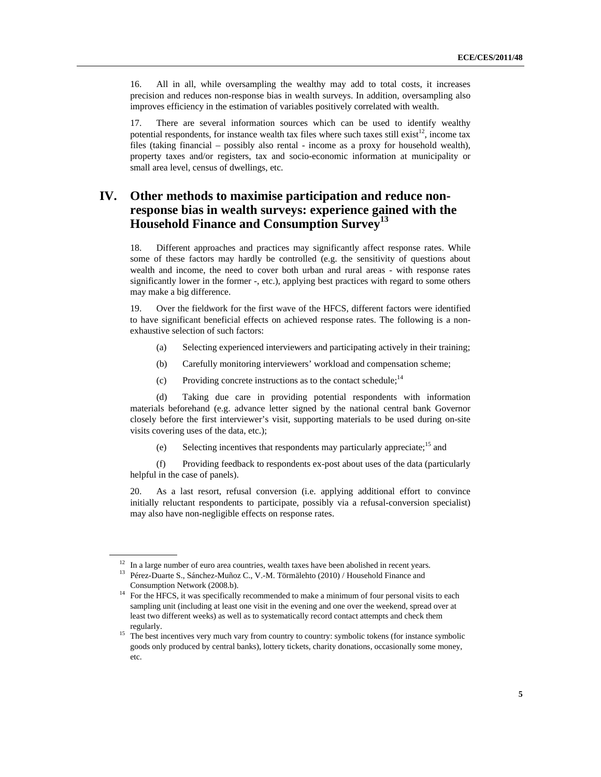16. All in all, while oversampling the wealthy may add to total costs, it increases precision and reduces non-response bias in wealth surveys. In addition, oversampling also improves efficiency in the estimation of variables positively correlated with wealth.

17. There are several information sources which can be used to identify wealthy potential respondents, for instance wealth tax files where such taxes still exist<sup>12</sup>, income tax files (taking financial – possibly also rental - income as a proxy for household wealth), property taxes and/or registers, tax and socio-economic information at municipality or small area level, census of dwellings, etc.

## **IV. Other methods to maximise participation and reduce nonresponse bias in wealth surveys: experience gained with the Household Finance and Consumption Survey<sup>13</sup>**

18. Different approaches and practices may significantly affect response rates. While some of these factors may hardly be controlled (e.g. the sensitivity of questions about wealth and income, the need to cover both urban and rural areas - with response rates significantly lower in the former -, etc.), applying best practices with regard to some others may make a big difference.

19. Over the fieldwork for the first wave of the HFCS, different factors were identified to have significant beneficial effects on achieved response rates. The following is a nonexhaustive selection of such factors:

- (a) Selecting experienced interviewers and participating actively in their training;
- (b) Carefully monitoring interviewers' workload and compensation scheme;
- (c) Providing concrete instructions as to the contact schedule;<sup>14</sup>

 (d) Taking due care in providing potential respondents with information materials beforehand (e.g. advance letter signed by the national central bank Governor closely before the first interviewer's visit, supporting materials to be used during on-site visits covering uses of the data, etc.);

(e) Selecting incentives that respondents may particularly appreciate;15 and

 (f) Providing feedback to respondents ex-post about uses of the data (particularly helpful in the case of panels).

20. As a last resort, refusal conversion (i.e. applying additional effort to convince initially reluctant respondents to participate, possibly via a refusal-conversion specialist) may also have non-negligible effects on response rates.

 $12$  In a large number of euro area countries, wealth taxes have been abolished in recent years.

<sup>&</sup>lt;sup>13</sup> Pérez-Duarte S., Sánchez-Muñoz C., V.-M. Törmälehto (2010) / Household Finance and

Consumption Network (2008.b). 14 For the HFCS, it was specifically recommended to make a minimum of four personal visits to each sampling unit (including at least one visit in the evening and one over the weekend, spread over at least two different weeks) as well as to systematically record contact attempts and check them

regularly. 15 The best incentives very much vary from country to country: symbolic tokens (for instance symbolic goods only produced by central banks), lottery tickets, charity donations, occasionally some money, etc.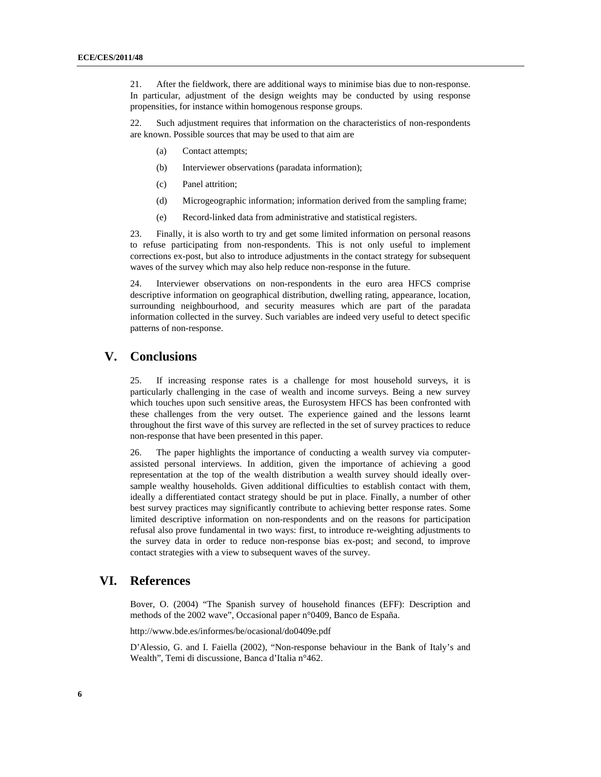21. After the fieldwork, there are additional ways to minimise bias due to non-response. In particular, adjustment of the design weights may be conducted by using response propensities, for instance within homogenous response groups.

22. Such adjustment requires that information on the characteristics of non-respondents are known. Possible sources that may be used to that aim are

- (a) Contact attempts;
- (b) Interviewer observations (paradata information);
- (c) Panel attrition;
- (d) Microgeographic information; information derived from the sampling frame;
- (e) Record-linked data from administrative and statistical registers.

23. Finally, it is also worth to try and get some limited information on personal reasons to refuse participating from non-respondents. This is not only useful to implement corrections ex-post, but also to introduce adjustments in the contact strategy for subsequent waves of the survey which may also help reduce non-response in the future.

24. Interviewer observations on non-respondents in the euro area HFCS comprise descriptive information on geographical distribution, dwelling rating, appearance, location, surrounding neighbourhood, and security measures which are part of the paradata information collected in the survey. Such variables are indeed very useful to detect specific patterns of non-response.

#### **V. Conclusions**

25. If increasing response rates is a challenge for most household surveys, it is particularly challenging in the case of wealth and income surveys. Being a new survey which touches upon such sensitive areas, the Eurosystem HFCS has been confronted with these challenges from the very outset. The experience gained and the lessons learnt throughout the first wave of this survey are reflected in the set of survey practices to reduce non-response that have been presented in this paper.

26. The paper highlights the importance of conducting a wealth survey via computerassisted personal interviews. In addition, given the importance of achieving a good representation at the top of the wealth distribution a wealth survey should ideally oversample wealthy households. Given additional difficulties to establish contact with them, ideally a differentiated contact strategy should be put in place. Finally, a number of other best survey practices may significantly contribute to achieving better response rates. Some limited descriptive information on non-respondents and on the reasons for participation refusal also prove fundamental in two ways: first, to introduce re-weighting adjustments to the survey data in order to reduce non-response bias ex-post; and second, to improve contact strategies with a view to subsequent waves of the survey.

#### **VI. References**

Bover, O. (2004) "The Spanish survey of household finances (EFF): Description and methods of the 2002 wave", Occasional paper n°0409, Banco de España.

http://www.bde.es/informes/be/ocasional/do0409e.pdf

D'Alessio, G. and I. Faiella (2002), "Non-response behaviour in the Bank of Italy's and Wealth", Temi di discussione, Banca d'Italia n°462.